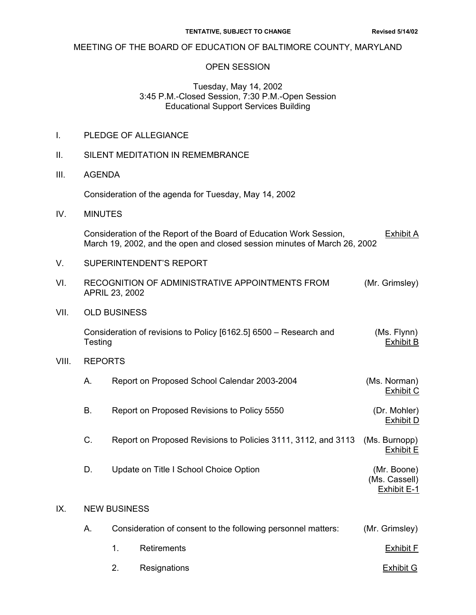#### MEETING OF THE BOARD OF EDUCATION OF BALTIMORE COUNTY, MARYLAND

#### OPEN SESSION

#### Tuesday, May 14, 2002 3:45 P.M.-Closed Session, 7:30 P.M.-Open Session Educational Support Services Building

|  | PLEDGE OF ALLEGIANCE |
|--|----------------------|
|--|----------------------|

- II. SILENT MEDITATION IN REMEMBRANCE
- III. AGENDA

Consideration of the agenda for Tuesday, May 14, 2002

IV. MINUTES

Consideration of the Report of the Board of Education Work Session, Exhibit A March 19, 2002, and the open and closed session minutes of March 26, 2002

- V. SUPERINTENDENT'S REPORT
- VI. RECOGNITION OF ADMINISTRATIVE APPOINTMENTS FROM (Mr. Grimsley) APRIL 23, 2002
- VII. OLD BUSINESS

 Consideration of revisions to Policy [6162.5] 6500 – Research and (Ms. Flynn) Testing Exhibit B

VIII. REPORTS

|    | Report on Proposed School Calendar 2003-2004 | (Ms. Norman)<br>Exhibit C |  |
|----|----------------------------------------------|---------------------------|--|
| В. | Report on Proposed Revisions to Policy 5550  | (Dr. Mohler)<br>Exhibit D |  |

- C. Report on Proposed Revisions to Policies 3111, 3112, and 3113 (Ms. Burnopp) Exhibit E
- D. Update on Title I School Choice Option **Example 20** (Mr. Boone) (Ms. Cassell)

Exhibit E-1

#### IX. NEW BUSINESS

| А |    | Consideration of consent to the following personnel matters: |           |  |
|---|----|--------------------------------------------------------------|-----------|--|
|   |    | 1. Retirements                                               | Exhibit F |  |
|   | 2. | Resignations                                                 | Exhibit G |  |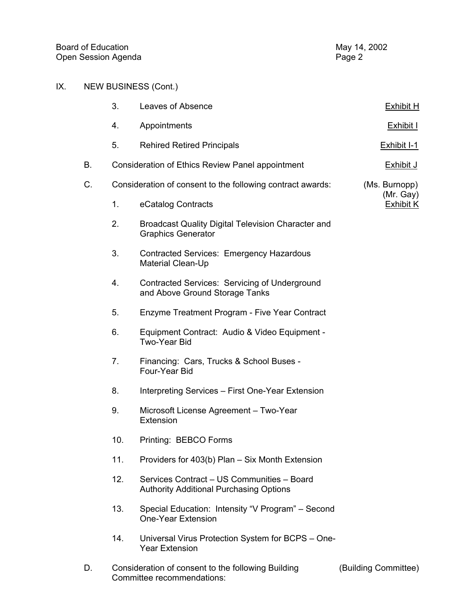## IX. NEW BUSINESS (Cont.)

|    | 3.  | Leaves of Absence                                                                            | <b>Exhibit H</b>              |
|----|-----|----------------------------------------------------------------------------------------------|-------------------------------|
|    | 4.  | Appointments                                                                                 | Exhibit I                     |
|    | 5.  | <b>Rehired Retired Principals</b>                                                            | Exhibit I-1                   |
| В. |     | Consideration of Ethics Review Panel appointment                                             | <b>Exhibit J</b>              |
| C. |     | Consideration of consent to the following contract awards:                                   | (Ms. Burnopp)                 |
|    | 1.  | eCatalog Contracts                                                                           | (Mr. Gay)<br><b>Exhibit K</b> |
|    | 2.  | Broadcast Quality Digital Television Character and<br><b>Graphics Generator</b>              |                               |
|    | 3.  | Contracted Services: Emergency Hazardous<br>Material Clean-Up                                |                               |
|    | 4.  | Contracted Services: Servicing of Underground<br>and Above Ground Storage Tanks              |                               |
|    | 5.  | Enzyme Treatment Program - Five Year Contract                                                |                               |
|    | 6.  | Equipment Contract: Audio & Video Equipment -<br>Two-Year Bid                                |                               |
|    | 7.  | Financing: Cars, Trucks & School Buses -<br>Four-Year Bid                                    |                               |
|    | 8.  | Interpreting Services - First One-Year Extension                                             |                               |
|    | 9.  | Microsoft License Agreement - Two-Year<br>Extension                                          |                               |
|    | 10. | Printing: BEBCO Forms                                                                        |                               |
|    | 11. | Providers for 403(b) Plan - Six Month Extension                                              |                               |
|    | 12. | Services Contract - US Communities - Board<br><b>Authority Additional Purchasing Options</b> |                               |
|    | 13. | Special Education: Intensity "V Program" - Second<br><b>One-Year Extension</b>               |                               |
|    | 14. | Universal Virus Protection System for BCPS - One-<br><b>Year Extension</b>                   |                               |
| D. |     | Consideration of consent to the following Building<br>Committee recommendations:             | (Building Committee)          |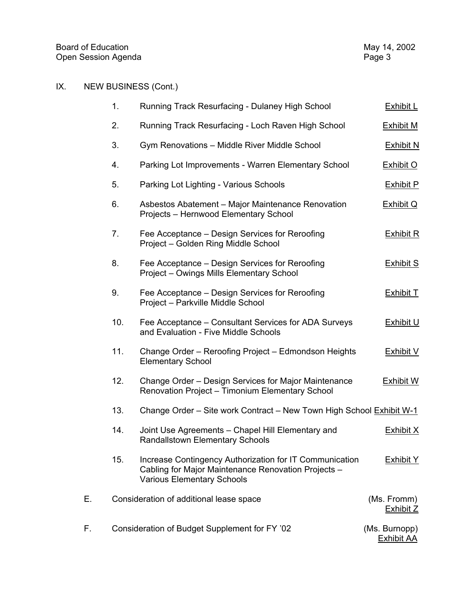# IX. NEW BUSINESS (Cont.)

|    | 1.  | Running Track Resurfacing - Dulaney High School                                                                                                     | <b>Exhibit L</b>                   |
|----|-----|-----------------------------------------------------------------------------------------------------------------------------------------------------|------------------------------------|
|    | 2.  | Running Track Resurfacing - Loch Raven High School                                                                                                  | <b>Exhibit M</b>                   |
|    | 3.  | Gym Renovations - Middle River Middle School                                                                                                        | <b>Exhibit N</b>                   |
|    | 4.  | Parking Lot Improvements - Warren Elementary School                                                                                                 | <b>Exhibit O</b>                   |
|    | 5.  | Parking Lot Lighting - Various Schools                                                                                                              | <b>Exhibit P</b>                   |
|    | 6.  | Asbestos Abatement - Major Maintenance Renovation<br>Projects - Hernwood Elementary School                                                          | Exhibit Q                          |
|    | 7.  | Fee Acceptance – Design Services for Reroofing<br>Project - Golden Ring Middle School                                                               | <b>Exhibit R</b>                   |
|    | 8.  | Fee Acceptance – Design Services for Reroofing<br>Project - Owings Mills Elementary School                                                          | <b>Exhibit S</b>                   |
|    | 9.  | Fee Acceptance – Design Services for Reroofing<br>Project - Parkville Middle School                                                                 | <b>Exhibit T</b>                   |
|    | 10. | Fee Acceptance - Consultant Services for ADA Surveys<br>and Evaluation - Five Middle Schools                                                        | <b>Exhibit U</b>                   |
|    | 11. | Change Order - Reroofing Project - Edmondson Heights<br><b>Elementary School</b>                                                                    | <b>Exhibit V</b>                   |
|    | 12. | Change Order - Design Services for Major Maintenance<br>Renovation Project - Timonium Elementary School                                             | <b>Exhibit W</b>                   |
|    | 13. | Change Order - Site work Contract - New Town High School Exhibit W-1                                                                                |                                    |
|    | 14. | Joint Use Agreements - Chapel Hill Elementary and<br><b>Randallstown Elementary Schools</b>                                                         | <b>Exhibit X</b>                   |
|    | 15. | Increase Contingency Authorization for IT Communication<br>Cabling for Major Maintenance Renovation Projects -<br><b>Various Elementary Schools</b> | <b>Exhibit Y</b>                   |
| Е. |     | Consideration of additional lease space                                                                                                             | (Ms. Fromm)<br><b>Exhibit Z</b>    |
| F. |     | Consideration of Budget Supplement for FY '02                                                                                                       | (Ms. Burnopp)<br><b>Exhibit AA</b> |